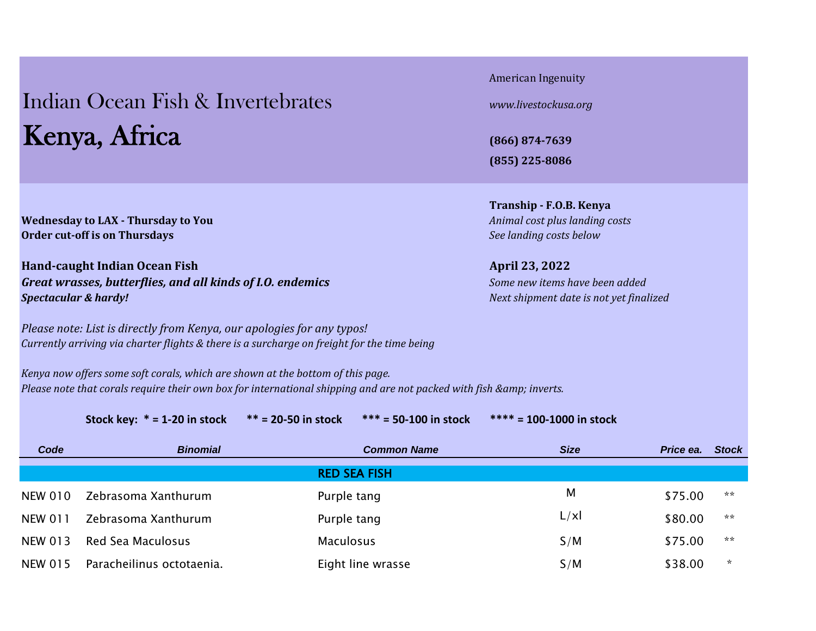## Indian Ocean Fish & Invertebrates *[www.livestockusa.org](http://www.livestockusa.org/)* Kenya, Africa **(866) 874-7639**

American Ingenuity

**(855) 225-8086**

**Tranship - F.O.B. Kenya**

**Wednesday to LAX - Thursday to You** *Animal cost plus landing costs Animal cost plus landing costs* **Order cut-off is on Thursdays** *See landing costs below*

**Hand-caught Indian Ocean Fish April 23, 2022** *Great wrasses, butterflies, and all kinds of I.O. endemics Some new items have been added Spectacular & hardy! Next shipment date is not yet finalized* 

*Please note: List is directly from Kenya, our apologies for any typos! Currently arriving via charter flights & there is a surcharge on freight for the time being*

*Kenya now offers some soft corals, which are shown at the bottom of this page. Please note that corals require their own box for international shipping and are not packed with fish & amp; inverts.* 

**Stock key: \* = 1-20 in stock \*\* = 20-50 in stock \*\*\* = 50-100 in stock \*\*\*\* = 100-1000 in stock**

| Code           | <b>Binomial</b>           | <b>Common Name</b>  | <b>Size</b> | Price ea. | <b>Stock</b> |
|----------------|---------------------------|---------------------|-------------|-----------|--------------|
|                |                           | <b>RED SEA FISH</b> |             |           |              |
| <b>NEW 010</b> | Zebrasoma Xanthurum       | Purple tang         | M           | \$75.00   | **           |
| <b>NEW 011</b> | Zebrasoma Xanthurum       | Purple tang         | L / x       | \$80.00   | **           |
| <b>NEW 013</b> | <b>Red Sea Maculosus</b>  | <b>Maculosus</b>    | S/M         | \$75.00   | **           |
| <b>NEW 015</b> | Paracheilinus octotaenia. | Eight line wrasse   | S/M         | \$38.00   | *.           |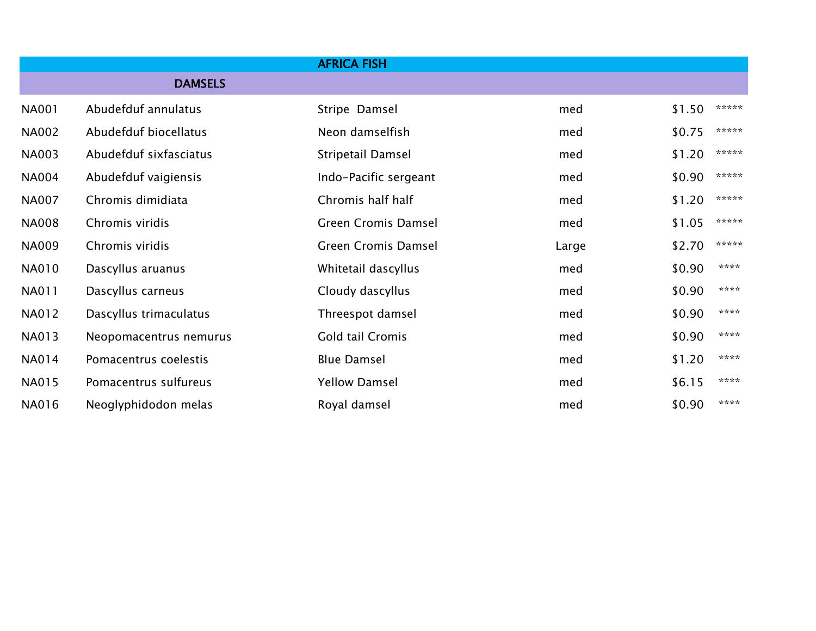|              |                        | <b>AFRICA FISH</b>         |       |        |       |
|--------------|------------------------|----------------------------|-------|--------|-------|
|              | <b>DAMSELS</b>         |                            |       |        |       |
| <b>NA001</b> | Abudefduf annulatus    | Stripe Damsel              | med   | \$1.50 | ***** |
| <b>NA002</b> | Abudefduf biocellatus  | Neon damselfish            | med   | \$0.75 | ***** |
| <b>NA003</b> | Abudefduf sixfasciatus | Stripetail Damsel          | med   | \$1.20 | ***** |
| <b>NA004</b> | Abudefduf vaigiensis   | Indo-Pacific sergeant      | med   | \$0.90 | ***** |
| <b>NA007</b> | Chromis dimidiata      | Chromis half half          | med   | \$1.20 | ***** |
| <b>NA008</b> | Chromis viridis        | <b>Green Cromis Damsel</b> | med   | \$1.05 | ***** |
| <b>NA009</b> | Chromis viridis        | <b>Green Cromis Damsel</b> | Large | \$2.70 | ***** |
| <b>NA010</b> | Dascyllus aruanus      | Whitetail dascyllus        | med   | \$0.90 | ****  |
| NA011        | Dascyllus carneus      | Cloudy dascyllus           | med   | \$0.90 | ****  |
| NA012        | Dascyllus trimaculatus | Threespot damsel           | med   | \$0.90 | ****  |
| <b>NA013</b> | Neopomacentrus nemurus | Gold tail Cromis           | med   | \$0.90 | ****  |
| NA014        | Pomacentrus coelestis  | <b>Blue Damsel</b>         | med   | \$1.20 | ****  |
| NA015        | Pomacentrus sulfureus  | <b>Yellow Damsel</b>       | med   | \$6.15 | ****  |
| NA016        | Neoglyphidodon melas   | Royal damsel               | med   | \$0.90 | ****  |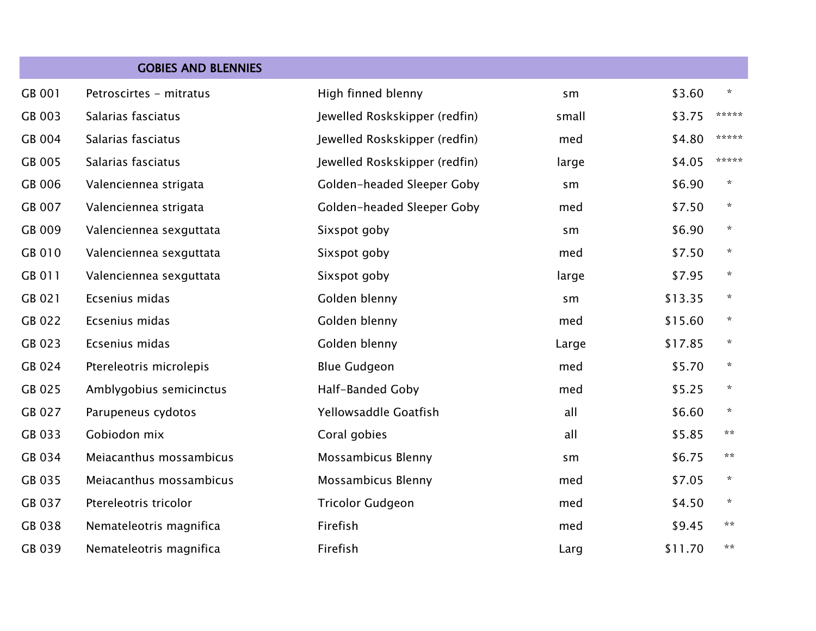|        | <b>GOBIES AND BLENNIES</b> |                               |       |         |         |
|--------|----------------------------|-------------------------------|-------|---------|---------|
| GB 001 | Petroscirtes - mitratus    | High finned blenny            | sm    | \$3.60  | $\star$ |
| GB 003 | Salarias fasciatus         | Jewelled Roskskipper (redfin) | small | \$3.75  | *****   |
| GB 004 | Salarias fasciatus         | Jewelled Roskskipper (redfin) | med   | \$4.80  | *****   |
| GB 005 | Salarias fasciatus         | Jewelled Roskskipper (redfin) | large | \$4.05  | *****   |
| GB 006 | Valenciennea strigata      | Golden-headed Sleeper Goby    | sm    | \$6.90  | $\star$ |
| GB 007 | Valenciennea strigata      | Golden-headed Sleeper Goby    | med   | \$7.50  | $\star$ |
| GB 009 | Valenciennea sexguttata    | Sixspot goby                  | sm    | \$6.90  | $\star$ |
| GB 010 | Valenciennea sexguttata    | Sixspot goby                  | med   | \$7.50  | $\star$ |
| GB 011 | Valenciennea sexguttata    | Sixspot goby                  | large | \$7.95  | $\star$ |
| GB 021 | Ecsenius midas             | Golden blenny                 | sm    | \$13.35 | $\star$ |
| GB 022 | Ecsenius midas             | Golden blenny                 | med   | \$15.60 | $\star$ |
| GB 023 | Ecsenius midas             | Golden blenny                 | Large | \$17.85 | $\star$ |
| GB 024 | Ptereleotris microlepis    | <b>Blue Gudgeon</b>           | med   | \$5.70  | $\star$ |
| GB 025 | Amblygobius semicinctus    | Half-Banded Goby              | med   | \$5.25  | $\star$ |
| GB 027 | Parupeneus cydotos         | Yellowsaddle Goatfish         | all   | \$6.60  | $\star$ |
| GB 033 | Gobiodon mix               | Coral gobies                  | all   | \$5.85  | **      |
| GB 034 | Meiacanthus mossambicus    | Mossambicus Blenny            | sm    | \$6.75  | **      |
| GB 035 | Meiacanthus mossambicus    | Mossambicus Blenny            | med   | \$7.05  | $\star$ |
| GB 037 | Ptereleotris tricolor      | <b>Tricolor Gudgeon</b>       | med   | \$4.50  | $\star$ |
| GB 038 | Nemateleotris magnifica    | Firefish                      | med   | \$9.45  | **      |
| GB 039 | Nemateleotris magnifica    | Firefish                      | Larg  | \$11.70 | **      |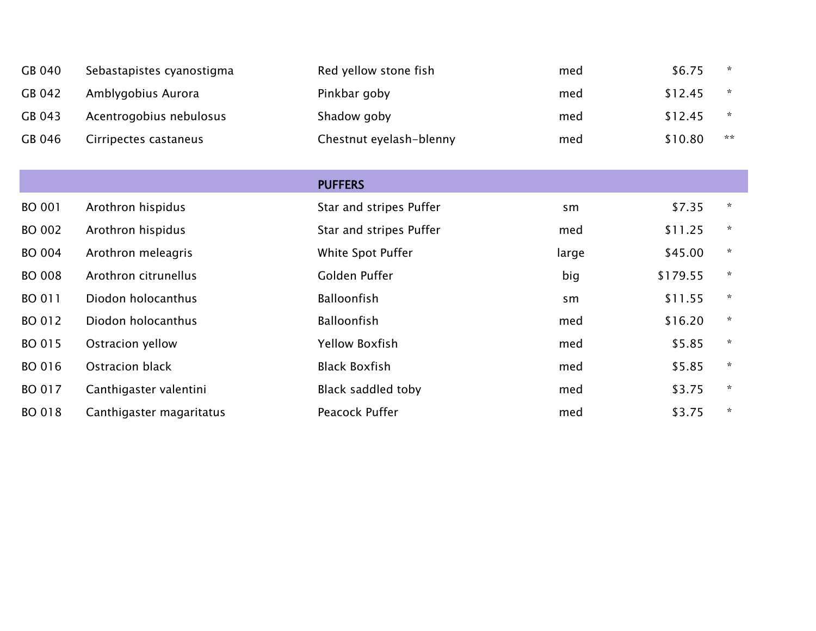| GB 040 | Sebastapistes cyanostigma | Red yellow stone fish   | med | \$6.75  | $\star$ |
|--------|---------------------------|-------------------------|-----|---------|---------|
| GB 042 | Amblygobius Aurora        | Pinkbar goby            | med | \$12.45 | $\star$ |
| GB 043 | Acentrogobius nebulosus   | Shadow goby             | med | \$12.45 | $\star$ |
| GB 046 | Cirripectes castaneus     | Chestnut eyelash-blenny | med | \$10.80 | **      |

|               |                          | <b>PUFFERS</b>          |       |          |         |
|---------------|--------------------------|-------------------------|-------|----------|---------|
| <b>BO 001</b> | Arothron hispidus        | Star and stripes Puffer | sm    | \$7.35   | $\star$ |
| <b>BO 002</b> | Arothron hispidus        | Star and stripes Puffer | med   | \$11.25  | $\star$ |
| <b>BO 004</b> | Arothron meleagris       | White Spot Puffer       | large | \$45.00  | $\star$ |
| <b>BO 008</b> | Arothron citrunellus     | Golden Puffer           | big   | \$179.55 | $\star$ |
| BO 011        | Diodon holocanthus       | <b>Balloonfish</b>      | sm    | \$11.55  | $\star$ |
| BO 012        | Diodon holocanthus       | <b>Balloonfish</b>      | med   | \$16.20  | $\star$ |
| BO 015        | Ostracion yellow         | <b>Yellow Boxfish</b>   | med   | \$5.85   | $\star$ |
| BO 016        | Ostracion black          | <b>Black Boxfish</b>    | med   | \$5.85   | $\star$ |
| BO 017        | Canthigaster valentini   | Black saddled toby      | med   | \$3.75   | $\star$ |
| <b>BO 018</b> | Canthigaster magaritatus | Peacock Puffer          | med   | \$3.75   | $\star$ |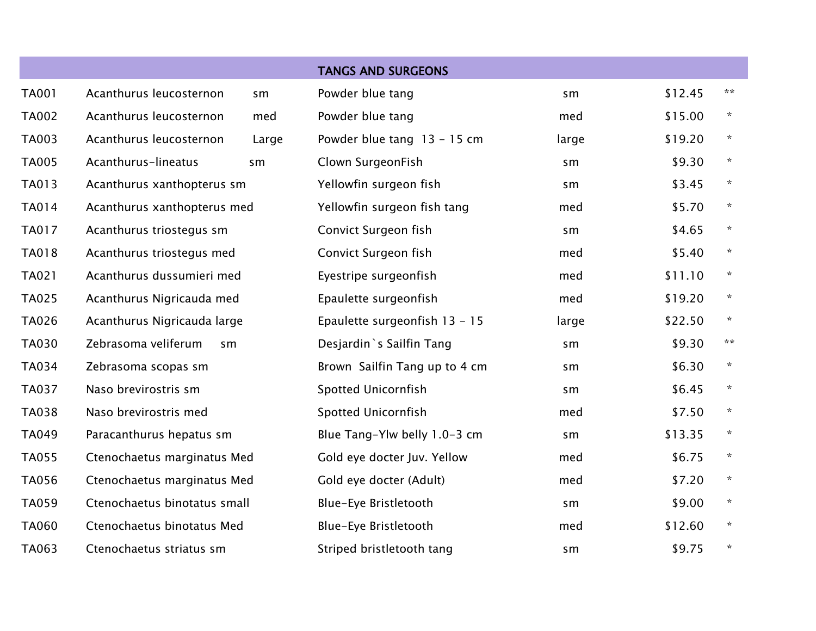|              |                              |       | <b>TANGS AND SURGEONS</b>     |       |         |         |
|--------------|------------------------------|-------|-------------------------------|-------|---------|---------|
| <b>TA001</b> | Acanthurus leucosternon      | sm    | Powder blue tang              | sm    | \$12.45 | **      |
| <b>TA002</b> | Acanthurus leucosternon      | med   | Powder blue tang              | med   | \$15.00 | $\star$ |
| <b>TA003</b> | Acanthurus leucosternon      | Large | Powder blue tang $13 - 15$ cm | large | \$19.20 | $\star$ |
| <b>TA005</b> | Acanthurus-lineatus          | sm    | Clown SurgeonFish             | sm    | \$9.30  | $\star$ |
| TA013        | Acanthurus xanthopterus sm   |       | Yellowfin surgeon fish        | sm    | \$3.45  | $\star$ |
| <b>TA014</b> | Acanthurus xanthopterus med  |       | Yellowfin surgeon fish tang   | med   | \$5.70  | $\star$ |
| <b>TA017</b> | Acanthurus triostegus sm     |       | Convict Surgeon fish          | sm    | \$4.65  | $\star$ |
| TA018        | Acanthurus triostegus med    |       | Convict Surgeon fish          | med   | \$5.40  | $\star$ |
| TA021        | Acanthurus dussumieri med    |       | Eyestripe surgeonfish         | med   | \$11.10 | $\star$ |
| <b>TA025</b> | Acanthurus Nigricauda med    |       | Epaulette surgeonfish         | med   | \$19.20 | $\star$ |
| <b>TA026</b> | Acanthurus Nigricauda large  |       | Epaulette surgeonfish 13 - 15 | large | \$22.50 | $\star$ |
| <b>TA030</b> | Zebrasoma veliferum<br>sm    |       | Desjardin `s Sailfin Tang     | sm    | \$9.30  | **      |
| <b>TA034</b> | Zebrasoma scopas sm          |       | Brown Sailfin Tang up to 4 cm | sm    | \$6.30  | $\star$ |
| <b>TA037</b> | Naso brevirostris sm         |       | <b>Spotted Unicornfish</b>    | sm    | \$6.45  | $\star$ |
| <b>TA038</b> | Naso brevirostris med        |       | <b>Spotted Unicornfish</b>    | med   | \$7.50  | $\star$ |
| <b>TA049</b> | Paracanthurus hepatus sm     |       | Blue Tang-Ylw belly 1.0-3 cm  | sm    | \$13.35 | $\star$ |
| <b>TA055</b> | Ctenochaetus marginatus Med  |       | Gold eye docter Juv. Yellow   | med   | \$6.75  | $\star$ |
| <b>TA056</b> | Ctenochaetus marginatus Med  |       | Gold eye docter (Adult)       | med   | \$7.20  | $\star$ |
| TA059        | Ctenochaetus binotatus small |       | Blue-Eye Bristletooth         | sm    | \$9.00  | $\star$ |
| <b>TA060</b> | Ctenochaetus binotatus Med   |       | Blue-Eye Bristletooth         | med   | \$12.60 | $\star$ |
| TA063        | Ctenochaetus striatus sm     |       | Striped bristletooth tang     | sm    | \$9.75  | $\star$ |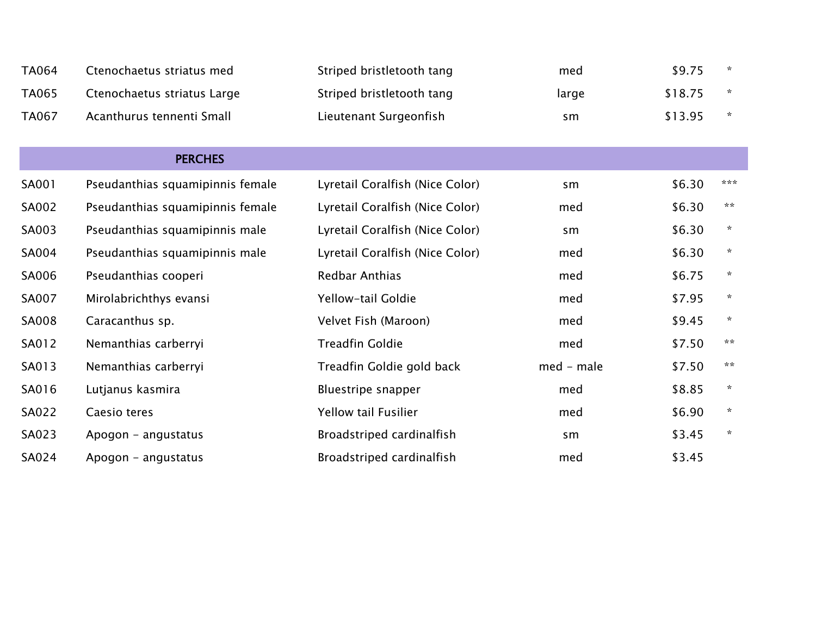| <b>TA064</b> | Ctenochaetus striatus med        | Striped bristletooth tang       | med          | \$9.75  | $\star$ |
|--------------|----------------------------------|---------------------------------|--------------|---------|---------|
| TA065        | Ctenochaetus striatus Large      | Striped bristletooth tang       | large        | \$18.75 | $\star$ |
| <b>TA067</b> | Acanthurus tennenti Small        | Lieutenant Surgeonfish          | sm           | \$13.95 | $\star$ |
|              |                                  |                                 |              |         |         |
|              | <b>PERCHES</b>                   |                                 |              |         |         |
| SA001        | Pseudanthias squamipinnis female | Lyretail Coralfish (Nice Color) | sm           | \$6.30  | ***     |
| SA002        | Pseudanthias squamipinnis female | Lyretail Coralfish (Nice Color) | med          | \$6.30  | **      |
| SA003        | Pseudanthias squamipinnis male   | Lyretail Coralfish (Nice Color) | sm           | \$6.30  | $\star$ |
| SA004        | Pseudanthias squamipinnis male   | Lyretail Coralfish (Nice Color) | med          | \$6.30  | $\star$ |
| SA006        | Pseudanthias cooperi             | <b>Redbar Anthias</b>           | med          | \$6.75  | ☆       |
| SA007        | Mirolabrichthys evansi           | Yellow-tail Goldie              | med          | \$7.95  | $\star$ |
| SA008        | Caracanthus sp.                  | Velvet Fish (Maroon)            | med          | \$9.45  | $\star$ |
| SA012        | Nemanthias carberryi             | <b>Treadfin Goldie</b>          | med          | \$7.50  | **      |
| SA013        | Nemanthias carberryi             | Treadfin Goldie gold back       | $med - male$ | \$7.50  | **      |
| SA016        | Lutjanus kasmira                 | Bluestripe snapper              | med          | \$8.85  | $\star$ |
| SA022        | Caesio teres                     | <b>Yellow tail Fusilier</b>     | med          | \$6.90  | $\star$ |
| SA023        | Apogon - angustatus              | Broadstriped cardinalfish       | sm           | \$3.45  | $\star$ |
| SA024        | Apogon - angustatus              | Broadstriped cardinalfish       | med          | \$3.45  |         |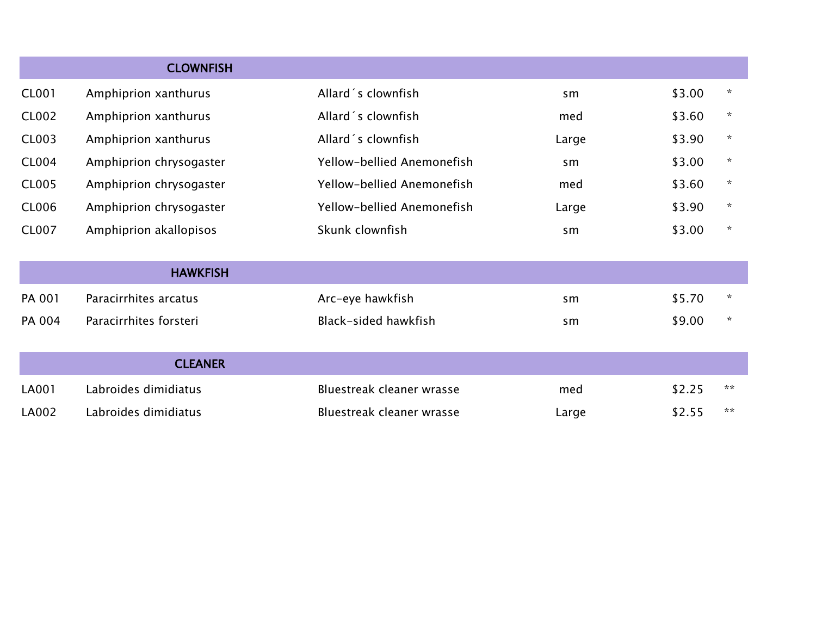|              | <b>CLOWNFISH</b>        |                            |       |        |                |
|--------------|-------------------------|----------------------------|-------|--------|----------------|
| <b>CL001</b> | Amphiprion xanthurus    | Allard's clownfish         | sm    | \$3.00 | $\star$        |
| <b>CL002</b> | Amphiprion xanthurus    | Allard's clownfish         | med   | \$3.60 | $\star$        |
| <b>CL003</b> | Amphiprion xanthurus    | Allard's clownfish         | Large | \$3.90 | $\star$        |
| <b>CL004</b> | Amphiprion chrysogaster | Yellow-bellied Anemonefish | sm    | \$3.00 | $\pmb{\times}$ |
| <b>CL005</b> | Amphiprion chrysogaster | Yellow-bellied Anemonefish | med   | \$3.60 | $\star$        |
| <b>CL006</b> | Amphiprion chrysogaster | Yellow-bellied Anemonefish | Large | \$3.90 | $\star$        |
| <b>CL007</b> | Amphiprion akallopisos  | Skunk clownfish            | sm    | \$3.00 | $\star$        |
|              | <b>HAWKFISH</b>         |                            |       |        |                |
| PA 001       | Paracirrhites arcatus   | Arc-eye hawkfish           | sm    | \$5.70 | ☆              |
| PA 004       | Paracirrhites forsteri  | Black-sided hawkfish       | sm    | \$9.00 | $\star$        |
|              | <b>CLEANER</b>          |                            |       |        |                |
| LA001        | Labroides dimidiatus    | Bluestreak cleaner wrasse  | med   | \$2.25 | **             |
| LA002        | Labroides dimidiatus    | Bluestreak cleaner wrasse  | Large | \$2.55 | **             |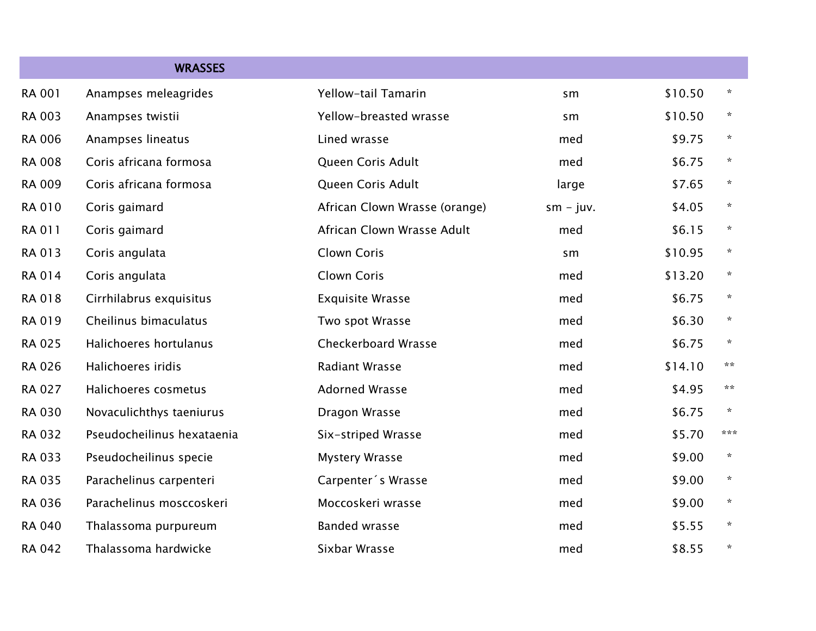|               | <b>WRASSES</b>             |                               |             |         |         |
|---------------|----------------------------|-------------------------------|-------------|---------|---------|
| <b>RA 001</b> | Anampses meleagrides       | Yellow-tail Tamarin           | sm          | \$10.50 | $\star$ |
| RA 003        | Anampses twistii           | Yellow-breasted wrasse        | sm          | \$10.50 | $\star$ |
| <b>RA 006</b> | Anampses lineatus          | Lined wrasse                  | med         | \$9.75  | $\star$ |
| <b>RA 008</b> | Coris africana formosa     | Queen Coris Adult             | med         | \$6.75  | $\star$ |
| RA 009        | Coris africana formosa     | Queen Coris Adult             | large       | \$7.65  | $\star$ |
| RA 010        | Coris gaimard              | African Clown Wrasse (orange) | $sm - juv.$ | \$4.05  | $\star$ |
| RA 011        | Coris gaimard              | African Clown Wrasse Adult    | med         | \$6.15  | $\star$ |
| RA 013        | Coris angulata             | Clown Coris                   | sm          | \$10.95 | $\star$ |
| <b>RA 014</b> | Coris angulata             | Clown Coris                   | med         | \$13.20 | $\star$ |
| RA 018        | Cirrhilabrus exquisitus    | <b>Exquisite Wrasse</b>       | med         | \$6.75  | $\star$ |
| RA 019        | Cheilinus bimaculatus      | Two spot Wrasse               | med         | \$6.30  | $\star$ |
| <b>RA 025</b> | Halichoeres hortulanus     | <b>Checkerboard Wrasse</b>    | med         | \$6.75  | $\star$ |
| <b>RA 026</b> | Halichoeres iridis         | <b>Radiant Wrasse</b>         | med         | \$14.10 | **      |
| <b>RA 027</b> | Halichoeres cosmetus       | <b>Adorned Wrasse</b>         | med         | \$4.95  | **      |
| <b>RA 030</b> | Novaculichthys taeniurus   | Dragon Wrasse                 | med         | \$6.75  | $\star$ |
| RA 032        | Pseudocheilinus hexataenia | Six-striped Wrasse            | med         | \$5.70  | ***     |
| RA 033        | Pseudocheilinus specie     | <b>Mystery Wrasse</b>         | med         | \$9.00  | $\star$ |
| <b>RA 035</b> | Parachelinus carpenteri    | Carpenter's Wrasse            | med         | \$9.00  | $\star$ |
| <b>RA 036</b> | Parachelinus mosccoskeri   | Moccoskeri wrasse             | med         | \$9.00  | $\star$ |
| RA 040        | Thalassoma purpureum       | <b>Banded wrasse</b>          | med         | \$5.55  | $\star$ |
| RA 042        | Thalassoma hardwicke       | Sixbar Wrasse                 | med         | \$8.55  | $\star$ |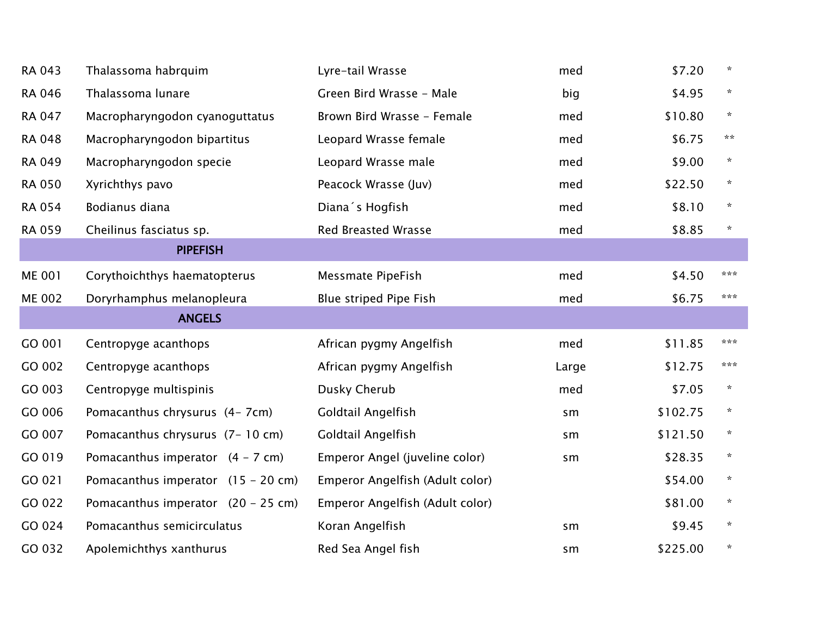| RA 043        | Thalassoma habrquim                  | Lyre-tail Wrasse                | med   | \$7.20   | $\star$ |
|---------------|--------------------------------------|---------------------------------|-------|----------|---------|
| <b>RA 046</b> | Thalassoma lunare                    | Green Bird Wrasse - Male        | big   | \$4.95   | $\star$ |
| <b>RA 047</b> | Macropharyngodon cyanoguttatus       | Brown Bird Wrasse - Female      | med   | \$10.80  | $\star$ |
| <b>RA 048</b> | Macropharyngodon bipartitus          | Leopard Wrasse female           | med   | \$6.75   | **      |
| <b>RA 049</b> | Macropharyngodon specie              | Leopard Wrasse male             | med   | \$9.00   | $\star$ |
| <b>RA 050</b> | Xyrichthys pavo                      | Peacock Wrasse (Juv)            | med   | \$22.50  | $\star$ |
| <b>RA 054</b> | Bodianus diana                       | Diana's Hogfish                 | med   | \$8.10   | $\star$ |
| <b>RA 059</b> | Cheilinus fasciatus sp.              | <b>Red Breasted Wrasse</b>      | med   | \$8.85   | *       |
|               | <b>PIPEFISH</b>                      |                                 |       |          |         |
| <b>ME 001</b> | Corythoichthys haematopterus         | <b>Messmate PipeFish</b>        | med   | \$4.50   | ***     |
| <b>ME 002</b> | Doryrhamphus melanopleura            | Blue striped Pipe Fish          | med   | \$6.75   | ***     |
|               | <b>ANGELS</b>                        |                                 |       |          |         |
| GO 001        | Centropyge acanthops                 | African pygmy Angelfish         | med   | \$11.85  | ***     |
| GO 002        | Centropyge acanthops                 | African pygmy Angelfish         | Large | \$12.75  | ***     |
| GO 003        | Centropyge multispinis               | Dusky Cherub                    | med   | \$7.05   | $\star$ |
| GO 006        | Pomacanthus chrysurus (4-7cm)        | Goldtail Angelfish              | sm    | \$102.75 | $\star$ |
| GO 007        | Pomacanthus chrysurus (7-10 cm)      | Goldtail Angelfish              | sm    | \$121.50 | *       |
| GO 019        | Pomacanthus imperator $(4 - 7$ cm)   | Emperor Angel (juveline color)  | sm    | \$28.35  | $\star$ |
| GO 021        | Pomacanthus imperator $(15 - 20$ cm) | Emperor Angelfish (Adult color) |       | \$54.00  | $\star$ |
| GO 022        | Pomacanthus imperator $(20 - 25$ cm) | Emperor Angelfish (Adult color) |       | \$81.00  | $\star$ |
| GO 024        | Pomacanthus semicirculatus           | Koran Angelfish                 | sm    | \$9.45   | $\star$ |
| GO 032        | Apolemichthys xanthurus              | Red Sea Angel fish              | sm    | \$225.00 | $\star$ |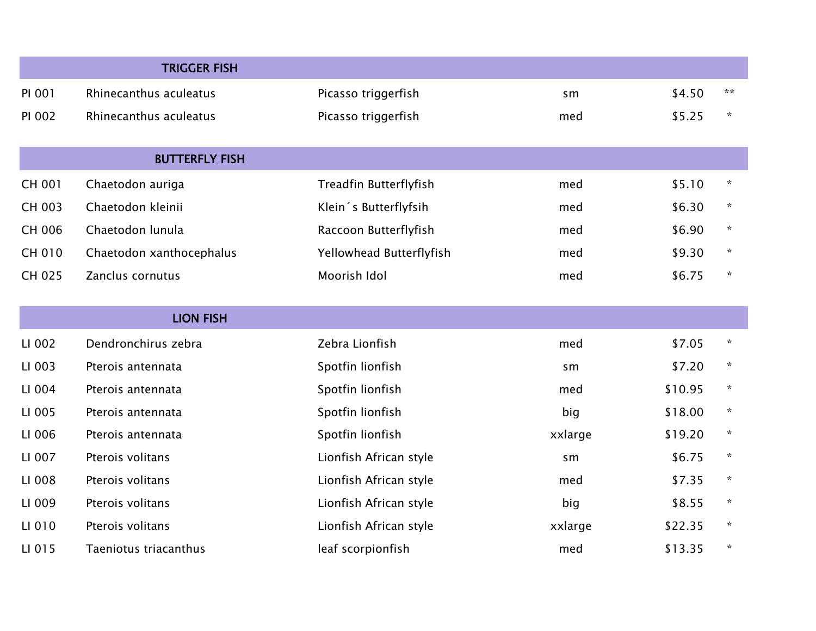|        | <b>TRIGGER FISH</b>      |                          |         |         |              |
|--------|--------------------------|--------------------------|---------|---------|--------------|
| PI 001 | Rhinecanthus aculeatus   | Picasso triggerfish      | sm      | \$4.50  | $**$         |
| PI 002 | Rhinecanthus aculeatus   | Picasso triggerfish      | med     | \$5.25  | $\star$      |
|        | <b>BUTTERFLY FISH</b>    |                          |         |         |              |
| CH 001 | Chaetodon auriga         | Treadfin Butterflyfish   | med     | \$5.10  | $\star$      |
| CH 003 | Chaetodon kleinii        | Klein 's Butterflyfsih   | med     | \$6.30  | $\star$      |
| CH 006 | Chaetodon lunula         | Raccoon Butterflyfish    | med     | \$6.90  | $\star$      |
| CH 010 | Chaetodon xanthocephalus | Yellowhead Butterflyfish | med     | \$9.30  | $\star$      |
| CH 025 | Zanclus cornutus         | Moorish Idol             | med     | \$6.75  | $\star$      |
|        | <b>LION FISH</b>         |                          |         |         |              |
| LI 002 | Dendronchirus zebra      | Zebra Lionfish           | med     | \$7.05  | $\star$      |
| LI 003 | Pterois antennata        | Spotfin lionfish         | sm      | \$7.20  | $\star$      |
| LI 004 | Pterois antennata        | Spotfin lionfish         | med     | \$10.95 | $\star$      |
| LI 005 | Pterois antennata        | Spotfin lionfish         | big     | \$18.00 | $\star$      |
| LI 006 | Pterois antennata        | Spotfin lionfish         | xxlarge | \$19.20 | $\mathbf{x}$ |
| LI 007 | Pterois volitans         | Lionfish African style   | sm      | \$6.75  | $\star$      |
| LI 008 | Pterois volitans         | Lionfish African style   | med     | \$7.35  | $\star$      |
| LI 009 | Pterois volitans         | Lionfish African style   | big     | \$8.55  | $\star$      |
| LI 010 | Pterois volitans         | Lionfish African style   | xxlarge | \$22.35 | $\star$      |
| LI 015 | Taeniotus triacanthus    | leaf scorpionfish        | med     | \$13.35 | $\star$      |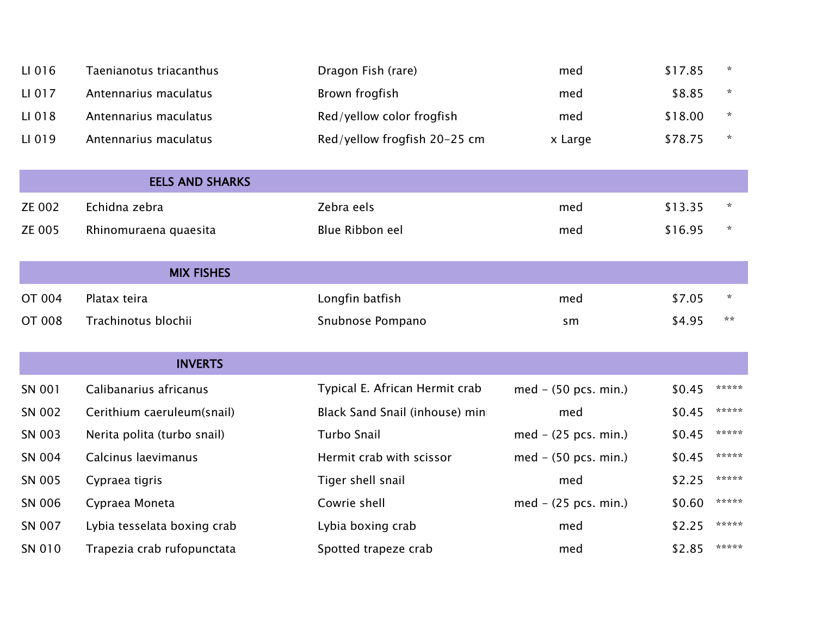| LI 016        | Taenianotus triacanthus     | Dragon Fish (rare)              | med                    | \$17.85 | $\star$ |
|---------------|-----------------------------|---------------------------------|------------------------|---------|---------|
| LI 017        | Antennarius maculatus       | Brown frogfish                  | med                    | \$8.85  | ☆       |
| LI 018        | Antennarius maculatus       | Red/yellow color frogfish       | med                    | \$18.00 | $\star$ |
| LI 019        | Antennarius maculatus       | Red/yellow frogfish 20-25 cm    | x Large                | \$78.75 | ☆       |
|               | <b>EELS AND SHARKS</b>      |                                 |                        |         |         |
| <b>ZE 002</b> | Echidna zebra               | Zebra eels                      | med                    | \$13.35 | $\star$ |
| ZE 005        | Rhinomuraena quaesita       | Blue Ribbon eel                 | med                    | \$16.95 | ∗       |
|               | <b>MIX FISHES</b>           |                                 |                        |         |         |
| <b>OT 004</b> | Platax teira                | Longfin batfish                 | med                    | \$7.05  | $\star$ |
| <b>OT 008</b> | Trachinotus blochii         | Snubnose Pompano                | sm                     | \$4.95  | **      |
|               | <b>INVERTS</b>              |                                 |                        |         |         |
| SN 001        | Calibanarius africanus      | Typical E. African Hermit crab  | $med - (50 pcs. min.)$ | \$0.45  | *****   |
| SN 002        | Cerithium caeruleum(snail)  | Black Sand Snail (inhouse) mini | med                    | \$0.45  | *****   |
| SN 003        | Nerita polita (turbo snail) | <b>Turbo Snail</b>              | med - (25 pcs. min.)   | \$0.45  | *****   |
| SN 004        | Calcinus laevimanus         | Hermit crab with scissor        | $med - (50 pcs. min.)$ | \$0.45  | *****   |
| SN 005        | Cypraea tigris              | Tiger shell snail               | med                    | \$2.25  | *****   |
| SN 006        | Cypraea Moneta              | Cowrie shell                    | med - (25 pcs. min.)   | \$0.60  | *****   |
| SN 007        | Lybia tesselata boxing crab | Lybia boxing crab               | med                    | \$2.25  | *****   |
| SN 010        | Trapezia crab rufopunctata  | Spotted trapeze crab            | med                    | \$2.85  | *****   |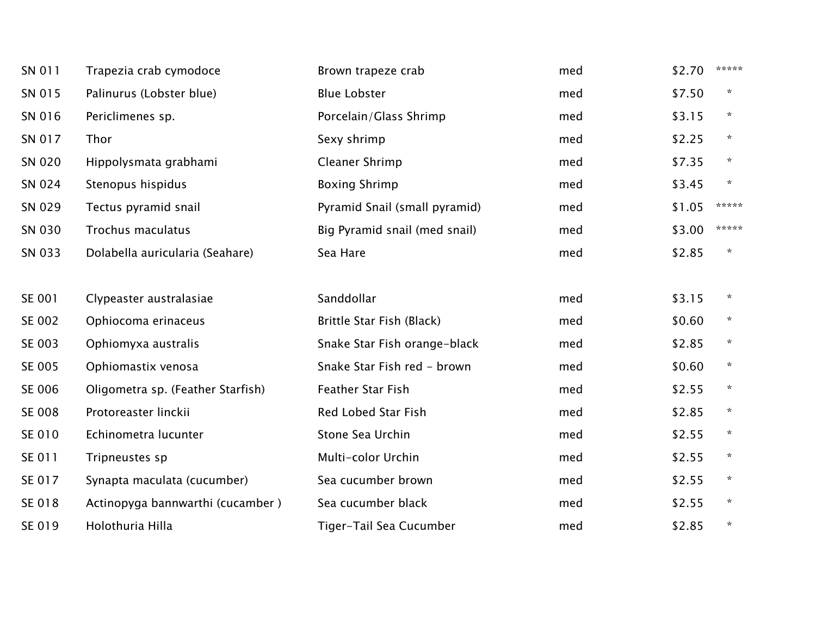| SN 011 | Trapezia crab cymodoce            | Brown trapeze crab            | med | \$2.70 | *****   |
|--------|-----------------------------------|-------------------------------|-----|--------|---------|
| SN 015 | Palinurus (Lobster blue)          | <b>Blue Lobster</b>           | med | \$7.50 | $\star$ |
| SN 016 | Periclimenes sp.                  | Porcelain/Glass Shrimp        | med | \$3.15 | $\star$ |
| SN 017 | Thor                              | Sexy shrimp                   | med | \$2.25 | $\star$ |
| SN 020 | Hippolysmata grabhami             | Cleaner Shrimp                | med | \$7.35 | $\star$ |
| SN 024 | Stenopus hispidus                 | <b>Boxing Shrimp</b>          | med | \$3.45 | $\star$ |
| SN 029 | Tectus pyramid snail              | Pyramid Snail (small pyramid) | med | \$1.05 | *****   |
| SN 030 | Trochus maculatus                 | Big Pyramid snail (med snail) | med | \$3.00 | *****   |
| SN 033 | Dolabella auricularia (Seahare)   | Sea Hare                      | med | \$2.85 |         |
| SE 001 | Clypeaster australasiae           | Sanddollar                    | med | \$3.15 | $\star$ |
| SE 002 | Ophiocoma erinaceus               | Brittle Star Fish (Black)     | med | \$0.60 | $\star$ |
| SE 003 | Ophiomyxa australis               | Snake Star Fish orange-black  | med | \$2.85 | $\star$ |
| SE 005 | Ophiomastix venosa                | Snake Star Fish red - brown   | med | \$0.60 | $\star$ |
| SE 006 | Oligometra sp. (Feather Starfish) | Feather Star Fish             | med | \$2.55 | $\star$ |
| SE 008 | Protoreaster linckii              | Red Lobed Star Fish           | med | \$2.85 | $\star$ |
| SE 010 | Echinometra lucunter              | Stone Sea Urchin              | med | \$2.55 | $\star$ |
| SE 011 | Tripneustes sp                    | Multi-color Urchin            | med | \$2.55 | $\star$ |
| SE 017 | Synapta maculata (cucumber)       | Sea cucumber brown            | med | \$2.55 | $\star$ |
| SE 018 | Actinopyga bannwarthi (cucamber)  | Sea cucumber black            | med | \$2.55 | $\star$ |
| SE 019 | Holothuria Hilla                  | Tiger-Tail Sea Cucumber       | med | \$2.85 | $\star$ |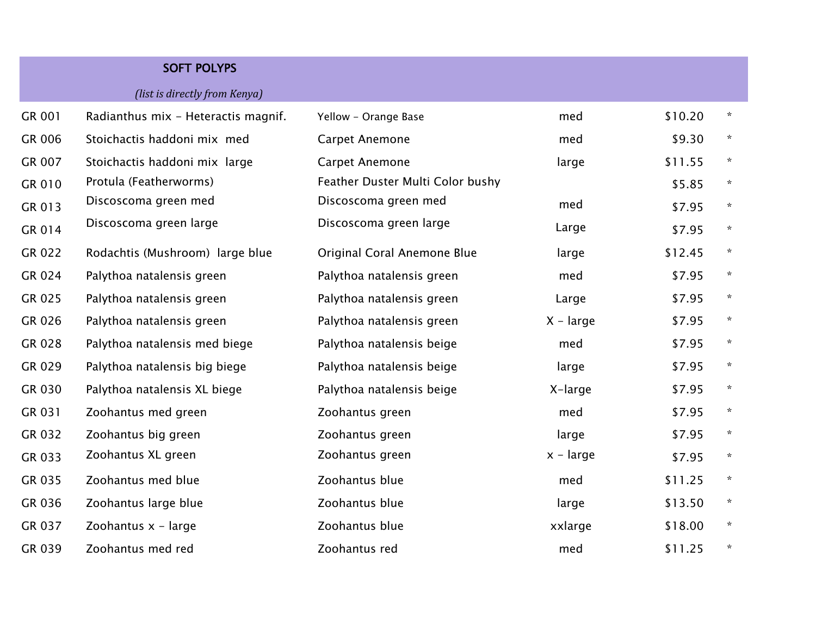## SOFT POLYPS *(list is directly from Kenya)*

| GR 001 | Radianthus mix - Heteractis magnif. | Yellow - Orange Base             | med         | \$10.20 | $\star$      |
|--------|-------------------------------------|----------------------------------|-------------|---------|--------------|
| GR 006 | Stoichactis haddoni mix med         | <b>Carpet Anemone</b>            | med         | \$9.30  | $\star$      |
| GR 007 | Stoichactis haddoni mix large       | <b>Carpet Anemone</b>            | large       | \$11.55 | $\star$      |
| GR 010 | Protula (Featherworms)              | Feather Duster Multi Color bushy |             | \$5.85  | $\star$      |
| GR 013 | Discoscoma green med                | Discoscoma green med             | med         | \$7.95  | $\star$      |
| GR 014 | Discoscoma green large              | Discoscoma green large           | Large       | \$7.95  | $\star$      |
| GR 022 | Rodachtis (Mushroom) large blue     | Original Coral Anemone Blue      | large       | \$12.45 | $\star$      |
| GR 024 | Palythoa natalensis green           | Palythoa natalensis green        | med         | \$7.95  | $\star$      |
| GR 025 | Palythoa natalensis green           | Palythoa natalensis green        | Large       | \$7.95  | $\star$      |
| GR 026 | Palythoa natalensis green           | Palythoa natalensis green        | $X - large$ | \$7.95  | $\star$      |
| GR 028 | Palythoa natalensis med biege       | Palythoa natalensis beige        | med         | \$7.95  | $\mathbf{x}$ |
| GR 029 | Palythoa natalensis big biege       | Palythoa natalensis beige        | large       | \$7.95  | $\star$      |
| GR 030 | Palythoa natalensis XL biege        | Palythoa natalensis beige        | X-large     | \$7.95  | $\mathbf{x}$ |
| GR 031 | Zoohantus med green                 | Zoohantus green                  | med         | \$7.95  | $\star$      |
| GR 032 | Zoohantus big green                 | Zoohantus green                  | large       | \$7.95  | $\star$      |
| GR 033 | Zoohantus XL green                  | Zoohantus green                  | $x - large$ | \$7.95  | $\star$      |
| GR 035 | Zoohantus med blue                  | Zoohantus blue                   | med         | \$11.25 | $\star$      |
| GR 036 | Zoohantus large blue                | Zoohantus blue                   | large       | \$13.50 | $\star$      |
| GR 037 | Zoohantus $x - large$               | Zoohantus blue                   | xxlarge     | \$18.00 | $\star$      |
| GR 039 | Zoohantus med red                   | Zoohantus red                    | med         | \$11.25 | $\star$      |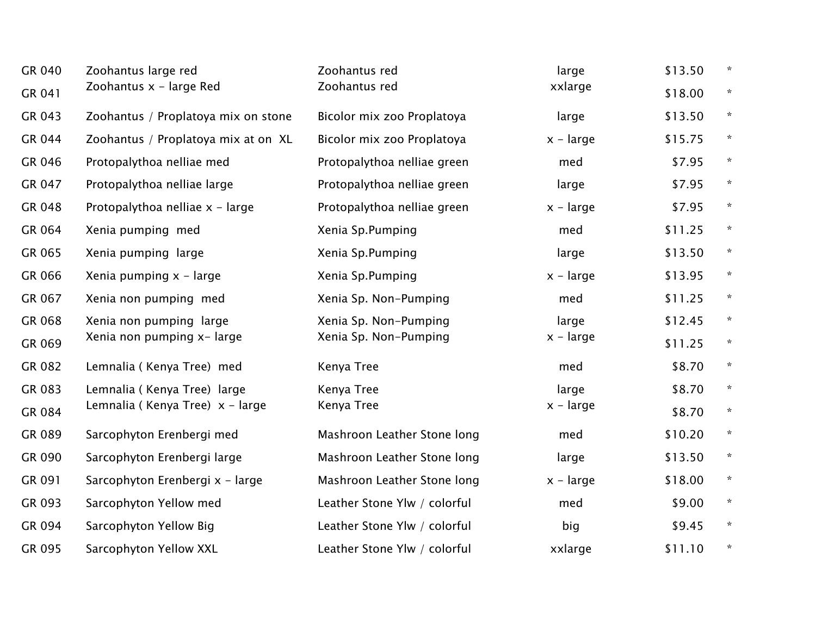| GR 040 | Zoohantus large red                 | Zoohantus red                | large       | \$13.50 | $\star$ |
|--------|-------------------------------------|------------------------------|-------------|---------|---------|
| GR 041 | Zoohantus x - large Red             | Zoohantus red                | xxlarge     | \$18.00 | $\star$ |
| GR 043 | Zoohantus / Proplatoya mix on stone | Bicolor mix zoo Proplatoya   | large       | \$13.50 | $\star$ |
| GR 044 | Zoohantus / Proplatoya mix at on XL | Bicolor mix zoo Proplatoya   | $x - large$ | \$15.75 | $\star$ |
| GR 046 | Protopalythoa nelliae med           | Protopalythoa nelliae green  | med         | \$7.95  | $\star$ |
| GR 047 | Protopalythoa nelliae large         | Protopalythoa nelliae green  | large       | \$7.95  | $\star$ |
| GR 048 | Protopalythoa nelliae x - large     | Protopalythoa nelliae green  | $x - large$ | \$7.95  | $\star$ |
| GR 064 | Xenia pumping med                   | Xenia Sp.Pumping             | med         | \$11.25 | $\star$ |
| GR 065 | Xenia pumping large                 | Xenia Sp.Pumping             | large       | \$13.50 | $\star$ |
| GR 066 | Xenia pumping $x - large$           | Xenia Sp.Pumping             | $x - large$ | \$13.95 | $\star$ |
| GR 067 | Xenia non pumping med               | Xenia Sp. Non-Pumping        | med         | \$11.25 | $\star$ |
| GR 068 | Xenia non pumping large             | Xenia Sp. Non-Pumping        | large       | \$12.45 | $\star$ |
| GR 069 | Xenia non pumping x- large          | Xenia Sp. Non-Pumping        | $x - large$ | \$11.25 | $\star$ |
| GR 082 | Lemnalia (Kenya Tree) med           | Kenya Tree                   | med         | \$8.70  | $\star$ |
| GR 083 | Lemnalia (Kenya Tree) large         | Kenya Tree                   | large       | \$8.70  | $\star$ |
| GR 084 | Lemnalia (Kenya Tree) x - large     | Kenya Tree                   | $x - large$ | \$8.70  | $\star$ |
| GR 089 | Sarcophyton Erenbergi med           | Mashroon Leather Stone long  | med         | \$10.20 | $\star$ |
| GR 090 | Sarcophyton Erenbergi large         | Mashroon Leather Stone long  | large       | \$13.50 | $\star$ |
| GR 091 | Sarcophyton Erenbergi x - large     | Mashroon Leather Stone long  | $x - large$ | \$18.00 | $\star$ |
| GR 093 | Sarcophyton Yellow med              | Leather Stone Ylw / colorful | med         | \$9.00  | $\star$ |
| GR 094 | Sarcophyton Yellow Big              | Leather Stone Ylw / colorful | big         | \$9.45  | $\star$ |
| GR 095 | Sarcophyton Yellow XXL              | Leather Stone Ylw / colorful | xxlarge     | \$11.10 | *       |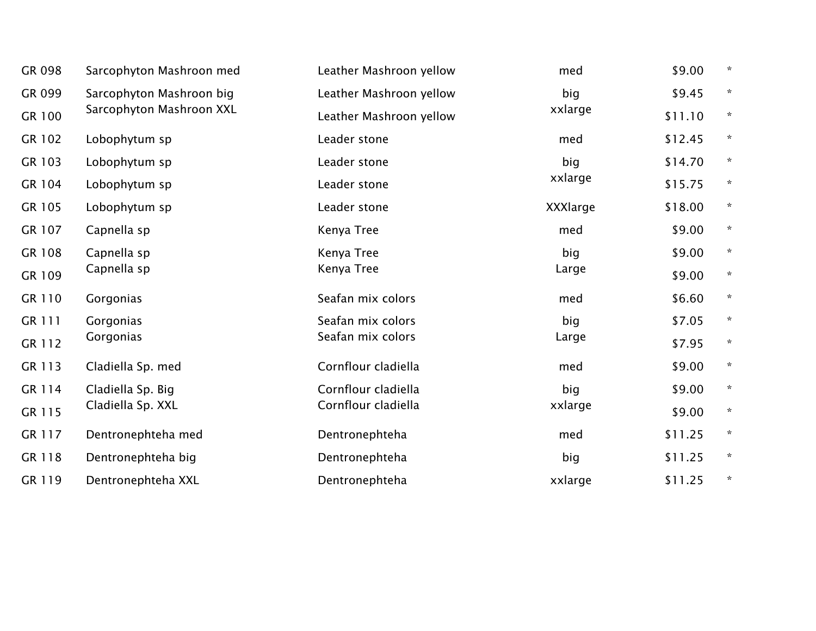| GR 098 | Sarcophyton Mashroon med | Leather Mashroon yellow | med             | \$9.00  | $\star$ |
|--------|--------------------------|-------------------------|-----------------|---------|---------|
| GR 099 | Sarcophyton Mashroon big | Leather Mashroon yellow | big             | \$9.45  | $\star$ |
| GR 100 | Sarcophyton Mashroon XXL | Leather Mashroon yellow | xxlarge         | \$11.10 | $\star$ |
| GR 102 | Lobophytum sp            | Leader stone            | med             | \$12.45 | $\star$ |
| GR 103 | Lobophytum sp            | Leader stone            | big             | \$14.70 | $\star$ |
| GR 104 | Lobophytum sp            | Leader stone            | xxlarge         | \$15.75 | $\star$ |
| GR 105 | Lobophytum sp            | Leader stone            | <b>XXXlarge</b> | \$18.00 | $\star$ |
| GR 107 | Capnella sp              | Kenya Tree              | med             | \$9.00  | $\star$ |
| GR 108 | Capnella sp              | Kenya Tree              | big             | \$9.00  | $\star$ |
| GR 109 | Capnella sp              | Kenya Tree              | Large           | \$9.00  | $\star$ |
| GR 110 | Gorgonias                | Seafan mix colors       | med             | \$6.60  | $\star$ |
| GR 111 | Gorgonias                | Seafan mix colors       | big             | \$7.05  | $\star$ |
| GR 112 | Gorgonias                | Seafan mix colors       | Large           | \$7.95  | $\star$ |
| GR 113 | Cladiella Sp. med        | Cornflour cladiella     | med             | \$9.00  | $\star$ |
| GR 114 | Cladiella Sp. Big        | Cornflour cladiella     | big             | \$9.00  | $\star$ |
| GR 115 | Cladiella Sp. XXL        | Cornflour cladiella     | xxlarge         | \$9.00  | $\star$ |
| GR 117 | Dentronephteha med       | Dentronephteha          | med             | \$11.25 | $\star$ |
| GR 118 | Dentronephteha big       | Dentronephteha          | big             | \$11.25 | $\star$ |
| GR 119 | Dentronephteha XXL       | Dentronephteha          | xxlarge         | \$11.25 | *       |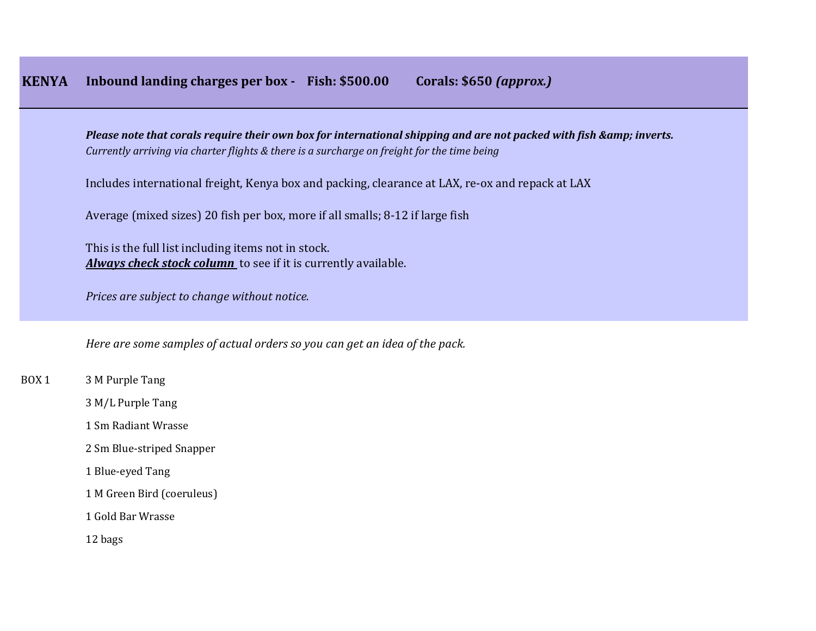*Please note that corals require their own box for international shipping and are not packed with fish & amp; inverts. Currently arriving via charter flights & there is a surcharge on freight for the time being*

Includes international freight, Kenya box and packing, clearance at LAX, re-ox and repack at LAX

Average (mixed sizes) 20 fish per box, more if all smalls; 8-12 if large fish

This is the full list including items not in stock. *Always check stock column* to see if it is currently available.

*Prices are subject to change without notice.*

*Here are some samples of actual orders so you can get an idea of the pack.*

BOX 1 3 M Purple Tang

3 M/L Purple Tang

1 Sm Radiant Wrasse

2 Sm Blue-striped Snapper

1 Blue-eyed Tang

1 M Green Bird (coeruleus)

1 Gold Bar Wrasse

12 bags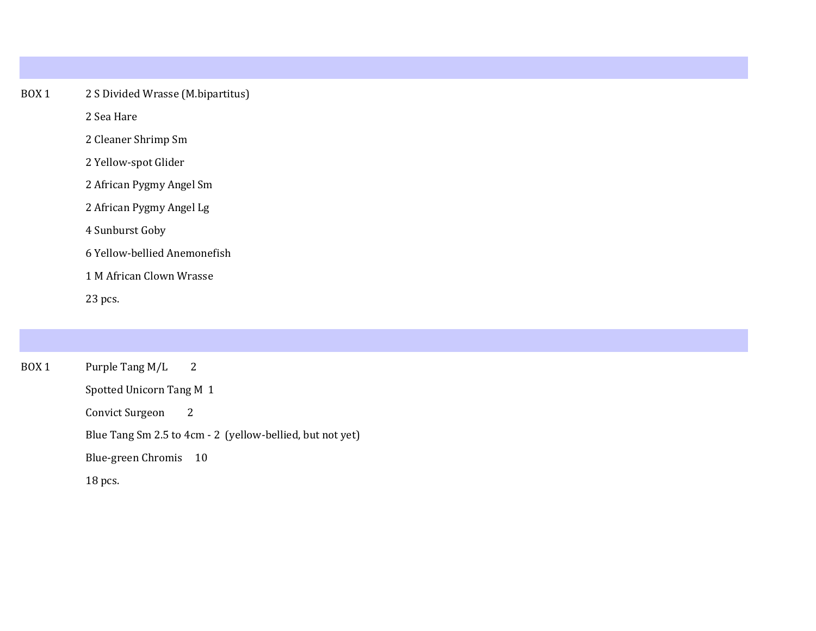## BOX 1 2 S Divided Wrasse (M.bipartitus)

2 Sea Hare

2 Cleaner Shrimp Sm

2 Yellow-spot Glider

2 African Pygmy Angel Sm

2 African Pygmy Angel Lg

4 Sunburst Goby

6 Yellow-bellied Anemonefish

1 M African Clown Wrasse

23 pcs.

| BOX 1 | Purple Tang M/L 2                                         |
|-------|-----------------------------------------------------------|
|       | Spotted Unicorn Tang M 1                                  |
|       | Convict Surgeon<br>2                                      |
|       | Blue Tang Sm 2.5 to 4cm - 2 (yellow-bellied, but not yet) |
|       | Blue-green Chromis 10                                     |
|       | 18 pcs.                                                   |